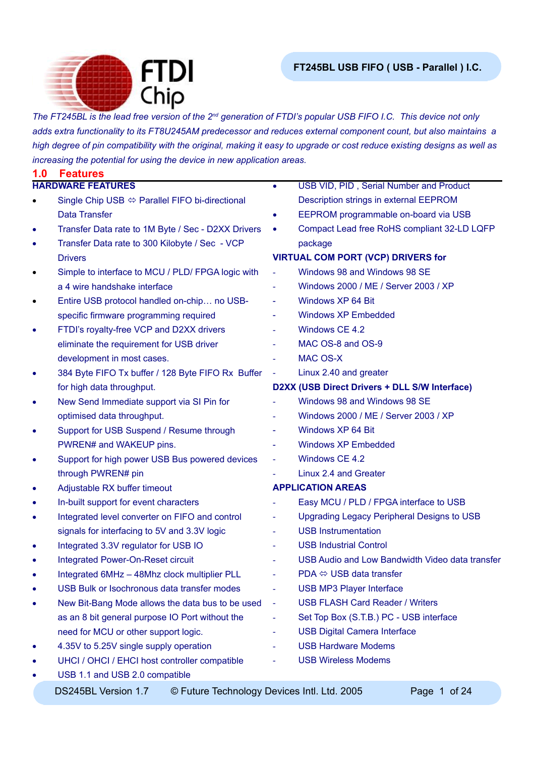

*The FT245BL is the lead free version of the 2nd generation of FTDI's popular USB FIFO I.C. This device not only adds extra functionality to its FT8U245AM predecessor and reduces external component count, but also maintains a high degree of pin compatibility with the original, making it easy to upgrade or cost reduce existing designs as well as increasing the potential for using the device in new application areas.*

| 1.0       | <b>Features</b>                                                |                          |                                                 |
|-----------|----------------------------------------------------------------|--------------------------|-------------------------------------------------|
|           | <b>HARDWARE FEATURES</b>                                       | $\bullet$                | USB VID, PID, Serial Number and Product         |
|           | Single Chip USB $\Leftrightarrow$ Parallel FIFO bi-directional |                          | Description strings in external EEPROM          |
|           | <b>Data Transfer</b>                                           | $\bullet$                | EEPROM programmable on-board via USB            |
| ٠         | Transfer Data rate to 1M Byte / Sec - D2XX Drivers             |                          | Compact Lead free RoHS compliant 32-LD LQFP     |
| ٠         | Transfer Data rate to 300 Kilobyte / Sec - VCP                 |                          | package                                         |
|           | <b>Drivers</b>                                                 |                          | <b>VIRTUAL COM PORT (VCP) DRIVERS for</b>       |
| $\bullet$ | Simple to interface to MCU / PLD/ FPGA logic with              |                          | Windows 98 and Windows 98 SE                    |
|           | a 4 wire handshake interface                                   | ۰                        | Windows 2000 / ME / Server 2003 / XP            |
| $\bullet$ | Entire USB protocol handled on-chip no USB-                    | $\overline{\phantom{a}}$ | Windows XP 64 Bit                               |
|           | specific firmware programming required                         | ۰                        | <b>Windows XP Embedded</b>                      |
| ٠         | FTDI's royalty-free VCP and D2XX drivers                       | ۰                        | Windows CE 4.2                                  |
|           | eliminate the requirement for USB driver                       |                          | MAC OS-8 and OS-9                               |
|           | development in most cases.                                     |                          | <b>MAC OS-X</b>                                 |
|           | 384 Byte FIFO Tx buffer / 128 Byte FIFO Rx Buffer              | $\equiv$                 | Linux 2.40 and greater                          |
|           | for high data throughput.                                      |                          | D2XX (USB Direct Drivers + DLL S/W Interface)   |
| ٠         | New Send Immediate support via SI Pin for                      |                          | Windows 98 and Windows 98 SE                    |
|           | optimised data throughput.                                     |                          | Windows 2000 / ME / Server 2003 / XP            |
| ٠         | Support for USB Suspend / Resume through                       | ÷                        | Windows XP 64 Bit                               |
|           | PWREN# and WAKEUP pins.                                        | ÷,                       | <b>Windows XP Embedded</b>                      |
| ٠         | Support for high power USB Bus powered devices                 | ÷,                       | Windows CE 4.2                                  |
|           | through PWREN# pin                                             |                          | Linux 2.4 and Greater                           |
| ٠         | Adjustable RX buffer timeout                                   |                          | <b>APPLICATION AREAS</b>                        |
| ٠         | In-built support for event characters                          |                          | Easy MCU / PLD / FPGA interface to USB          |
| $\bullet$ | Integrated level converter on FIFO and control                 | $\overline{\phantom{a}}$ | Upgrading Legacy Peripheral Designs to USB      |
|           | signals for interfacing to 5V and 3.3V logic                   |                          | <b>USB Instrumentation</b>                      |
|           | Integrated 3.3V regulator for USB IO                           | $\blacksquare$           | <b>USB Industrial Control</b>                   |
| ٠         | <b>Integrated Power-On-Reset circuit</b>                       |                          | USB Audio and Low Bandwidth Video data transfer |
|           | Integrated 6MHz - 48Mhz clock multiplier PLL                   | ÷,                       | $PDA \Leftrightarrow \text{USB}$ data transfer  |
|           | USB Bulk or Isochronous data transfer modes                    |                          | <b>USB MP3 Player Interface</b>                 |
|           | New Bit-Bang Mode allows the data bus to be used               | $\blacksquare$           | <b>USB FLASH Card Reader / Writers</b>          |
|           | as an 8 bit general purpose IO Port without the                | $\blacksquare$           | Set Top Box (S.T.B.) PC - USB interface         |
|           | need for MCU or other support logic.                           |                          | <b>USB Digital Camera Interface</b>             |
|           | 4.35V to 5.25V single supply operation                         |                          | <b>USB Hardware Modems</b>                      |
|           | UHCI / OHCI / EHCI host controller compatible                  |                          | <b>USB Wireless Modems</b>                      |
|           | USB 1.1 and USB 2.0 compatible                                 |                          |                                                 |
|           |                                                                |                          |                                                 |

DS245BL Version 1.7 © Future Technology Devices Intl. Ltd. 2005 Page 1 of 24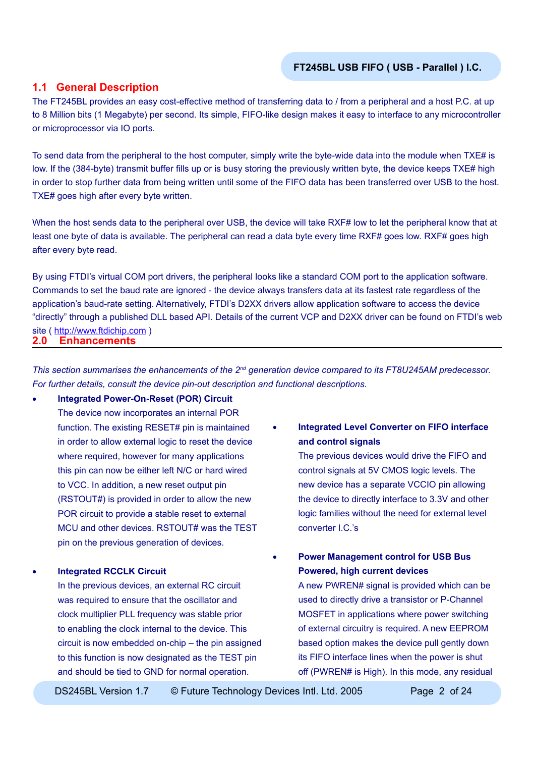### **1.1 General Description**

The FT245BL provides an easy cost-effective method of transferring data to / from a peripheral and a host P.C. at up to 8 Million bits (1 Megabyte) per second. Its simple, FIFO-like design makes it easy to interface to any microcontroller or microprocessor via IO ports.

To send data from the peripheral to the host computer, simply write the byte-wide data into the module when TXE# is low. If the (384-byte) transmit buffer fills up or is busy storing the previously written byte, the device keeps TXE# high in order to stop further data from being written until some of the FIFO data has been transferred over USB to the host. TXE# goes high after every byte written.

When the host sends data to the peripheral over USB, the device will take RXF# low to let the peripheral know that at least one byte of data is available. The peripheral can read a data byte every time RXF# goes low. RXF# goes high after every byte read.

**2.0 Enhancements** By using FTDI's virtual COM port drivers, the peripheral looks like a standard COM port to the application software. Commands to set the baud rate are ignored - the device always transfers data at its fastest rate regardless of the application's baud-rate setting. Alternatively, FTDI's D2XX drivers allow application software to access the device "directly" through a published DLL based API. Details of the current VCP and D2XX driver can be found on FTDI's web site ( [http://www.ftdichip.com](http://www.ftdichip.com/FTDisti.htm) )

*This section summarises the enhancements of the 2nd generation device compared to its FT8U245AM predecessor. For further details, consult the device pin-out description and functional descriptions.*

#### • **Integrated Power-On-Reset (POR) Circuit**

The device now incorporates an internal POR function. The existing RESET# pin is maintained in order to allow external logic to reset the device where required, however for many applications this pin can now be either left N/C or hard wired to VCC. In addition, a new reset output pin (RSTOUT#) is provided in order to allow the new POR circuit to provide a stable reset to external MCU and other devices. RSTOUT# was the TEST pin on the previous generation of devices.

#### • **Integrated RCCLK Circuit**

In the previous devices, an external RC circuit was required to ensure that the oscillator and clock multiplier PLL frequency was stable prior to enabling the clock internal to the device. This circuit is now embedded on-chip – the pin assigned to this function is now designated as the TEST pin and should be tied to GND for normal operation.

• **Integrated Level Converter on FIFO interface and control signals**

> The previous devices would drive the FIFO and control signals at 5V CMOS logic levels. The new device has a separate VCCIO pin allowing the device to directly interface to 3.3V and other logic families without the need for external level converter I.C.'s

• **Power Management control for USB Bus Powered, high current devices**

> A new PWREN# signal is provided which can be used to directly drive a transistor or P-Channel MOSFET in applications where power switching of external circuitry is required. A new EEPROM based option makes the device pull gently down its FIFO interface lines when the power is shut off (PWREN# is High). In this mode, any residual

DS245BL Version 1.7 © Future Technology Devices Intl. Ltd. 2005 Page 2 of 24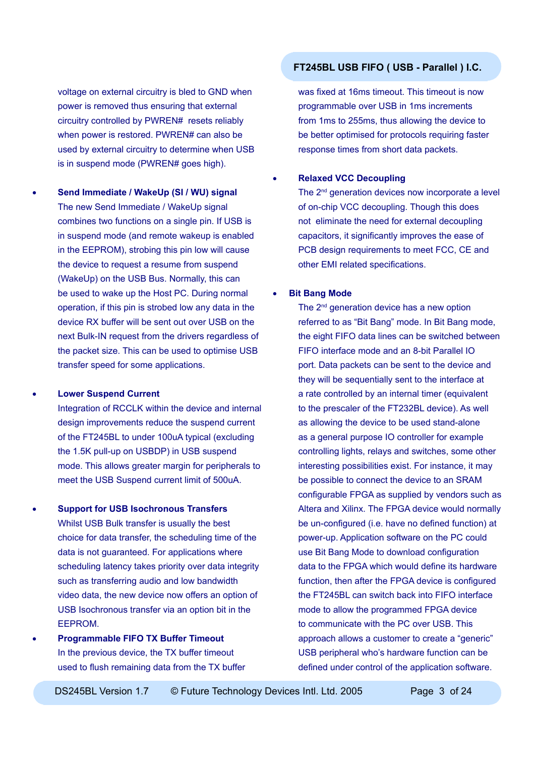voltage on external circuitry is bled to GND when power is removed thus ensuring that external circuitry controlled by PWREN# resets reliably when power is restored. PWREN# can also be used by external circuitry to determine when USB is in suspend mode (PWREN# goes high).

• **Send Immediate / WakeUp (SI / WU) signal** The new Send Immediate / WakeUp signal combines two functions on a single pin. If USB is in suspend mode (and remote wakeup is enabled in the EEPROM), strobing this pin low will cause the device to request a resume from suspend (WakeUp) on the USB Bus. Normally, this can be used to wake up the Host PC. During normal operation, if this pin is strobed low any data in the device RX buffer will be sent out over USB on the next Bulk-IN request from the drivers regardless of the packet size. This can be used to optimise USB transfer speed for some applications.

## • **Lower Suspend Current** Integration of RCCLK within the device and internal design improvements reduce the suspend current of the FT245BL to under 100uA typical (excluding the 1.5K pull-up on USBDP) in USB suspend mode. This allows greater margin for peripherals to meet the USB Suspend current limit of 500uA.

• **Support for USB Isochronous Transfers** Whilst USB Bulk transfer is usually the best choice for data transfer, the scheduling time of the data is not guaranteed. For applications where scheduling latency takes priority over data integrity such as transferring audio and low bandwidth video data, the new device now offers an option of USB Isochronous transfer via an option bit in the EEPROM.

• **Programmable FIFO TX Buffer Timeout** In the previous device, the TX buffer timeout used to flush remaining data from the TX buffer

## **FT245BL USB FIFO ( USB - Parallel ) I.C.**

was fixed at 16ms timeout. This timeout is now programmable over USB in 1ms increments from 1ms to 255ms, thus allowing the device to be better optimised for protocols requiring faster response times from short data packets.

### • **Relaxed VCC Decoupling**

The 2<sup>nd</sup> generation devices now incorporate a level of on-chip VCC decoupling. Though this does not eliminate the need for external decoupling capacitors, it significantly improves the ease of PCB design requirements to meet FCC, CE and other EMI related specifications.

#### **Bit Bang Mode**

The  $2<sup>nd</sup>$  generation device has a new option referred to as "Bit Bang" mode. In Bit Bang mode, the eight FIFO data lines can be switched between FIFO interface mode and an 8-bit Parallel IO port. Data packets can be sent to the device and they will be sequentially sent to the interface at a rate controlled by an internal timer (equivalent to the prescaler of the FT232BL device). As well as allowing the device to be used stand-alone as a general purpose IO controller for example controlling lights, relays and switches, some other interesting possibilities exist. For instance, it may be possible to connect the device to an SRAM configurable FPGA as supplied by vendors such as Altera and Xilinx. The FPGA device would normally be un-configured (i.e. have no defined function) at power-up. Application software on the PC could use Bit Bang Mode to download configuration data to the FPGA which would define its hardware function, then after the FPGA device is configured the FT245BL can switch back into FIFO interface mode to allow the programmed FPGA device to communicate with the PC over USB. This approach allows a customer to create a "generic" USB peripheral who's hardware function can be defined under control of the application software.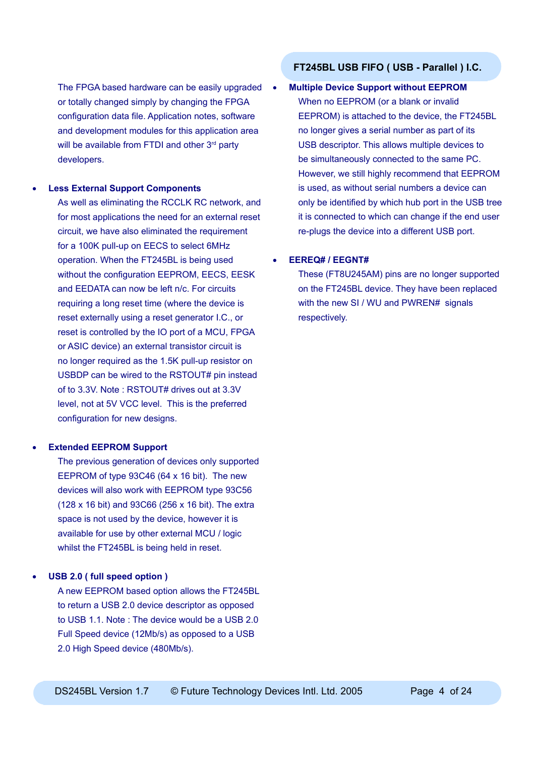The FPGA based hardware can be easily upgraded or totally changed simply by changing the FPGA configuration data file. Application notes, software and development modules for this application area will be available from FTDI and other 3<sup>rd</sup> party developers.

#### **Less External Support Components**

As well as eliminating the RCCLK RC network, and for most applications the need for an external reset circuit, we have also eliminated the requirement for a 100K pull-up on EECS to select 6MHz operation. When the FT245BL is being used without the configuration EEPROM, EECS, EESK and EEDATA can now be left n/c. For circuits requiring a long reset time (where the device is reset externally using a reset generator I.C., or reset is controlled by the IO port of a MCU, FPGA or ASIC device) an external transistor circuit is no longer required as the 1.5K pull-up resistor on USBDP can be wired to the RSTOUT# pin instead of to 3.3V. Note : RSTOUT# drives out at 3.3V level, not at 5V VCC level. This is the preferred configuration for new designs.

### • **Extended EEPROM Support**

The previous generation of devices only supported EEPROM of type 93C46 (64 x 16 bit). The new devices will also work with EEPROM type 93C56 (128 x 16 bit) and 93C66 (256 x 16 bit). The extra space is not used by the device, however it is available for use by other external MCU / logic whilst the FT245BL is being held in reset.

#### • **USB 2.0 ( full speed option )**

A new EEPROM based option allows the FT245BL to return a USB 2.0 device descriptor as opposed to USB 1.1. Note : The device would be a USB 2.0 Full Speed device (12Mb/s) as opposed to a USB 2.0 High Speed device (480Mb/s).

### **FT245BL USB FIFO ( USB - Parallel ) I.C.**

#### • **Multiple Device Support without EEPROM**

When no EEPROM (or a blank or invalid EEPROM) is attached to the device, the FT245BL no longer gives a serial number as part of its USB descriptor. This allows multiple devices to be simultaneously connected to the same PC. However, we still highly recommend that EEPROM is used, as without serial numbers a device can only be identified by which hub port in the USB tree it is connected to which can change if the end user re-plugs the device into a different USB port.

#### • **EEREQ# / EEGNT#**

These (FT8U245AM) pins are no longer supported on the FT245BL device. They have been replaced with the new SI / WU and PWREN# signals respectively.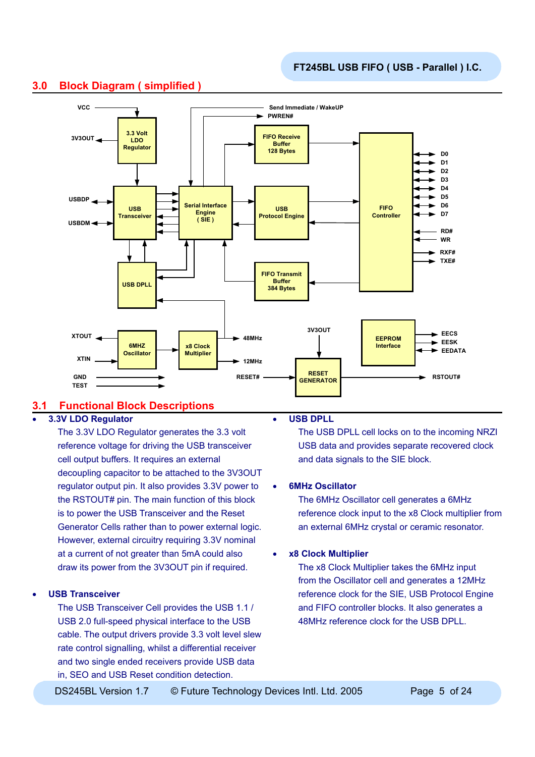

## **3.0 Block Diagram ( simplified )**

### **3.1 Functional Block Descriptions**

### • **3.3V LDO Regulator**

The 3.3V LDO Regulator generates the 3.3 volt reference voltage for driving the USB transceiver cell output buffers. It requires an external decoupling capacitor to be attached to the 3V3OUT regulator output pin. It also provides 3.3V power to the RSTOUT# pin. The main function of this block is to power the USB Transceiver and the Reset Generator Cells rather than to power external logic. However, external circuitry requiring 3.3V nominal at a current of not greater than 5mA could also draw its power from the 3V3OUT pin if required.

#### • **USB Transceiver**

The USB Transceiver Cell provides the USB 1.1 / USB 2.0 full-speed physical interface to the USB cable. The output drivers provide 3.3 volt level slew rate control signalling, whilst a differential receiver and two single ended receivers provide USB data in, SEO and USB Reset condition detection.

#### • **USB DPLL**

The USB DPLL cell locks on to the incoming NRZI USB data and provides separate recovered clock and data signals to the SIE block.

#### • **6MHz Oscillator**

The 6MHz Oscillator cell generates a 6MHz reference clock input to the x8 Clock multiplier from an external 6MHz crystal or ceramic resonator.

#### • **x8 Clock Multiplier**

The x8 Clock Multiplier takes the 6MHz input from the Oscillator cell and generates a 12MHz reference clock for the SIE, USB Protocol Engine and FIFO controller blocks. It also generates a 48MHz reference clock for the USB DPLL.

DS245BL Version 1.7  $\circledcirc$  Future Technology Devices Intl. Ltd. 2005 Page 5 of 24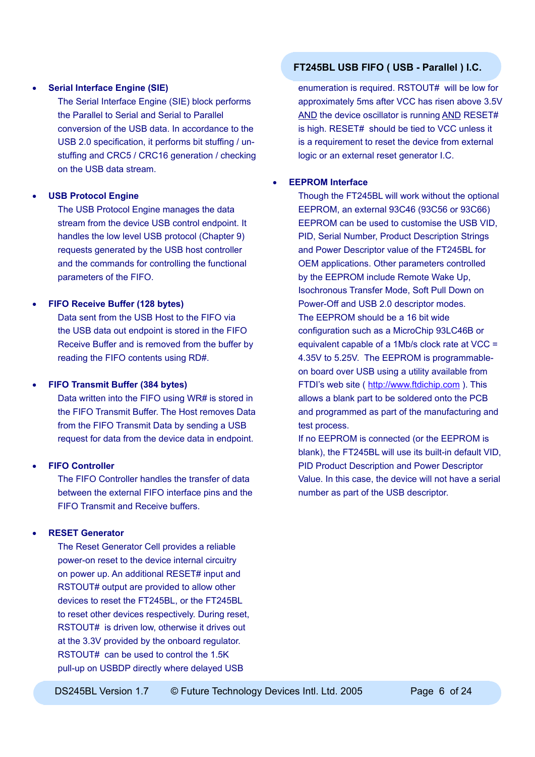#### • **Serial Interface Engine (SIE)**

The Serial Interface Engine (SIE) block performs the Parallel to Serial and Serial to Parallel conversion of the USB data. In accordance to the USB 2.0 specification, it performs bit stuffing / unstuffing and CRC5 / CRC16 generation / checking on the USB data stream.

#### • **USB Protocol Engine**

The USB Protocol Engine manages the data stream from the device USB control endpoint. It handles the low level USB protocol (Chapter 9) requests generated by the USB host controller and the commands for controlling the functional parameters of the FIFO.

#### • **FIFO Receive Buffer (128 bytes)**

Data sent from the USB Host to the FIFO via the USB data out endpoint is stored in the FIFO Receive Buffer and is removed from the buffer by reading the FIFO contents using RD#.

#### • **FIFO Transmit Buffer (384 bytes)**

Data written into the FIFO using WR# is stored in the FIFO Transmit Buffer. The Host removes Data from the FIFO Transmit Data by sending a USB request for data from the device data in endpoint.

#### • **FIFO Controller**

The FIFO Controller handles the transfer of data between the external FIFO interface pins and the FIFO Transmit and Receive buffers.

#### • **RESET Generator**

The Reset Generator Cell provides a reliable power-on reset to the device internal circuitry on power up. An additional RESET# input and RSTOUT# output are provided to allow other devices to reset the FT245BL, or the FT245BL to reset other devices respectively. During reset, RSTOUT# is driven low, otherwise it drives out at the 3.3V provided by the onboard regulator. RSTOUT# can be used to control the 1.5K pull-up on USBDP directly where delayed USB

### **FT245BL USB FIFO ( USB - Parallel ) I.C.**

enumeration is required. RSTOUT# will be low for approximately 5ms after VCC has risen above 3.5V AND the device oscillator is running AND RESET# is high. RESET# should be tied to VCC unless it is a requirement to reset the device from external logic or an external reset generator I.C.

#### • **EEPROM Interface**

Though the FT245BL will work without the optional EEPROM, an external 93C46 (93C56 or 93C66) EEPROM can be used to customise the USB VID, PID, Serial Number, Product Description Strings and Power Descriptor value of the FT245BL for OEM applications. Other parameters controlled by the EEPROM include Remote Wake Up, Isochronous Transfer Mode, Soft Pull Down on Power-Off and USB 2.0 descriptor modes. The EEPROM should be a 16 bit wide configuration such as a MicroChip 93LC46B or equivalent capable of a 1Mb/s clock rate at VCC = 4.35V to 5.25V. The EEPROM is programmableon board over USB using a utility available from FTDI's web site ( [http://www.ftdichip.com](http://www.ftdichip.com/FTDisti.htm) ). This allows a blank part to be soldered onto the PCB and programmed as part of the manufacturing and test process.

If no EEPROM is connected (or the EEPROM is blank), the FT245BL will use its built-in default VID, PID Product Description and Power Descriptor Value. In this case, the device will not have a serial number as part of the USB descriptor.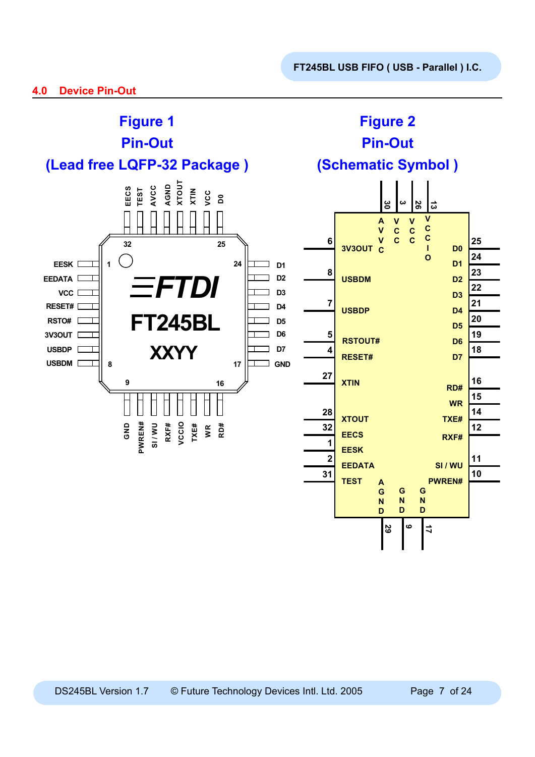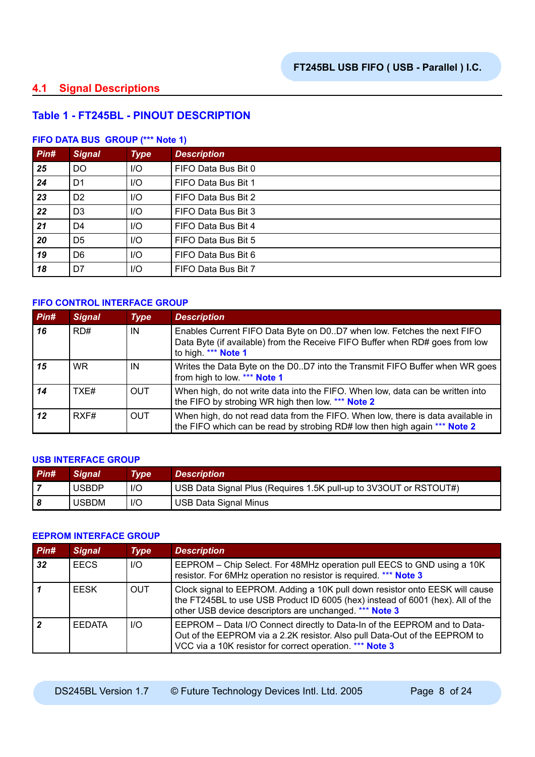### **4.1 Signal Descriptions**

### **Table 1 - FT245BL - PINOUT DESCRIPTION**

#### **FIFO DATA BUS GROUP (\*\*\* Note 1)**

| Pin# | <b>Signal</b>  | <b>Type</b>             | <b>Description</b>  |
|------|----------------|-------------------------|---------------------|
| 25   | <b>DO</b>      | I/O                     | FIFO Data Bus Bit 0 |
| 24   | D <sub>1</sub> | I/O                     | FIFO Data Bus Bit 1 |
| 23   | D <sub>2</sub> | I/O                     | FIFO Data Bus Bit 2 |
| 22   | D <sub>3</sub> | I/O                     | FIFO Data Bus Bit 3 |
| 21   | D4             | I/O                     | FIFO Data Bus Bit 4 |
| 20   | D <sub>5</sub> | $II$                    | FIFO Data Bus Bit 5 |
| 19   | D <sub>6</sub> | I/O                     | FIFO Data Bus Bit 6 |
| 18   | D7             | $\mathsf{I}/\mathsf{O}$ | FIFO Data Bus Bit 7 |

#### **FIFO CONTROL INTERFACE GROUP**

| Pin# | <b>Signal</b> | <b>Type</b> | <b>Description</b>                                                                                                                                                            |
|------|---------------|-------------|-------------------------------------------------------------------------------------------------------------------------------------------------------------------------------|
| 16   | RD#           | IN          | Enables Current FIFO Data Byte on D0D7 when low. Fetches the next FIFO<br>Data Byte (if available) from the Receive FIFO Buffer when RD# goes from low<br>to high. *** Note 1 |
| 15   | WR.           | IN          | Writes the Data Byte on the D0D7 into the Transmit FIFO Buffer when WR goes<br>from high to low. *** Note 1                                                                   |
| 14   | TXF#          | <b>OUT</b>  | When high, do not write data into the FIFO. When low, data can be written into<br>the FIFO by strobing WR high then low. *** Note 2                                           |
| 12   | RXF#          | <b>OUT</b>  | When high, do not read data from the FIFO. When low, there is data available in<br>the FIFO which can be read by strobing RD# low then high again *** Note 2                  |

#### **USB INTERFACE GROUP**

| $P$ in# | <b>Signal</b> | Type | <b>Description</b>                                                |
|---------|---------------|------|-------------------------------------------------------------------|
|         | <b>USBDP</b>  | I/O  | USB Data Signal Plus (Requires 1.5K pull-up to 3V3OUT or RSTOUT#) |
|         | <b>USBDM</b>  | I/O  | USB Data Signal Minus                                             |

#### **EEPROM INTERFACE GROUP**

| Pin# | <b>Signal</b> | <b>Type</b> | <b>Description</b>                                                                                                                                                                                                       |
|------|---------------|-------------|--------------------------------------------------------------------------------------------------------------------------------------------------------------------------------------------------------------------------|
| 32   | <b>EECS</b>   | $II$        | EEPROM - Chip Select. For 48MHz operation pull EECS to GND using a 10K<br>resistor. For 6MHz operation no resistor is required. *** Note 3                                                                               |
|      | <b>FESK</b>   | <b>OUT</b>  | Clock signal to EEPROM. Adding a 10K pull down resistor onto EESK will cause<br>the FT245BL to use USB Product ID 6005 (hex) instead of 6001 (hex). All of the<br>other USB device descriptors are unchanged. *** Note 3 |
|      | <b>FFDATA</b> | $II$        | EEPROM - Data I/O Connect directly to Data-In of the EEPROM and to Data-<br>Out of the EEPROM via a 2.2K resistor. Also pull Data-Out of the EEPROM to<br>VCC via a 10K resistor for correct operation. *** Note 3       |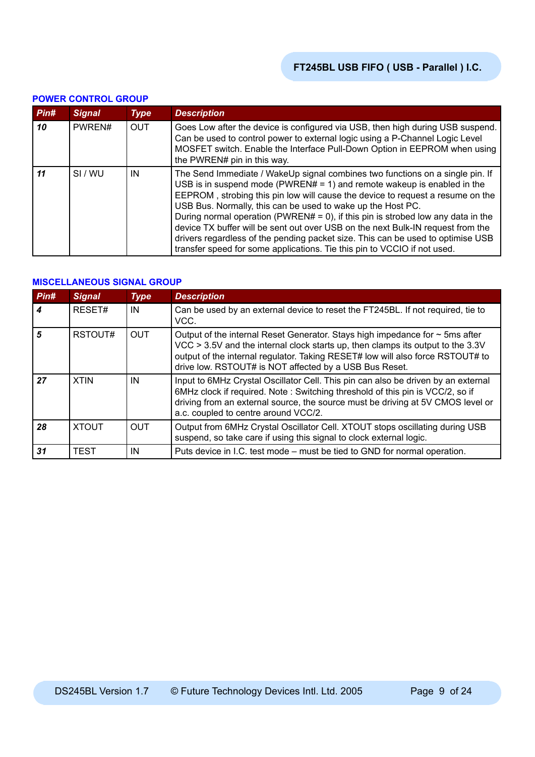| <u>UNER UURTRUE URUUT</u> |               |             |                                                                                                                                                                                                                                                                                                                                                                                                                                                                                                                                                                                                                                                 |  |  |  |
|---------------------------|---------------|-------------|-------------------------------------------------------------------------------------------------------------------------------------------------------------------------------------------------------------------------------------------------------------------------------------------------------------------------------------------------------------------------------------------------------------------------------------------------------------------------------------------------------------------------------------------------------------------------------------------------------------------------------------------------|--|--|--|
| Pin#                      | <b>Signal</b> | <b>Type</b> | <b>Description</b>                                                                                                                                                                                                                                                                                                                                                                                                                                                                                                                                                                                                                              |  |  |  |
| 10                        | PWREN#        | <b>OUT</b>  | Goes Low after the device is configured via USB, then high during USB suspend.<br>Can be used to control power to external logic using a P-Channel Logic Level<br>MOSFET switch. Enable the Interface Pull-Down Option in EEPROM when using<br>the PWREN# pin in this way.                                                                                                                                                                                                                                                                                                                                                                      |  |  |  |
| 11                        | SI/WU         | IN          | The Send Immediate / WakeUp signal combines two functions on a single pin. If<br>USB is in suspend mode (PWREN# = 1) and remote wakeup is enabled in the<br>EEPROM, strobing this pin low will cause the device to request a resume on the<br>USB Bus. Normally, this can be used to wake up the Host PC.<br>During normal operation (PWREN# = 0), if this pin is strobed low any data in the<br>device TX buffer will be sent out over USB on the next Bulk-IN request from the<br>drivers regardless of the pending packet size. This can be used to optimise USB<br>transfer speed for some applications. Tie this pin to VCCIO if not used. |  |  |  |

#### **POWER CONTROL GROUP**

#### **MISCELLANEOUS SIGNAL GROUP**

| Pin# | <b>Signal</b> | <b>Type</b> | <b>Description</b>                                                                                                                                                                                                                                                                                               |
|------|---------------|-------------|------------------------------------------------------------------------------------------------------------------------------------------------------------------------------------------------------------------------------------------------------------------------------------------------------------------|
|      | RESET#        | IN          | Can be used by an external device to reset the FT245BL. If not required, tie to<br>VCC.                                                                                                                                                                                                                          |
| 5    | RSTOUT#       | <b>OUT</b>  | Output of the internal Reset Generator. Stays high impedance for $\sim$ 5ms after<br>VCC > 3.5V and the internal clock starts up, then clamps its output to the 3.3V<br>output of the internal regulator. Taking RESET# low will also force RSTOUT# to<br>drive low. RSTOUT# is NOT affected by a USB Bus Reset. |
| 27   | <b>XTIN</b>   | IN          | Input to 6MHz Crystal Oscillator Cell. This pin can also be driven by an external<br>6MHz clock if required. Note: Switching threshold of this pin is VCC/2, so if<br>driving from an external source, the source must be driving at 5V CMOS level or<br>a.c. coupled to centre around VCC/2.                    |
| 28   | <b>XTOUT</b>  | <b>OUT</b>  | Output from 6MHz Crystal Oscillator Cell. XTOUT stops oscillating during USB<br>suspend, so take care if using this signal to clock external logic.                                                                                                                                                              |
| 31   | <b>TEST</b>   | IN          | Puts device in I.C. test mode – must be tied to GND for normal operation.                                                                                                                                                                                                                                        |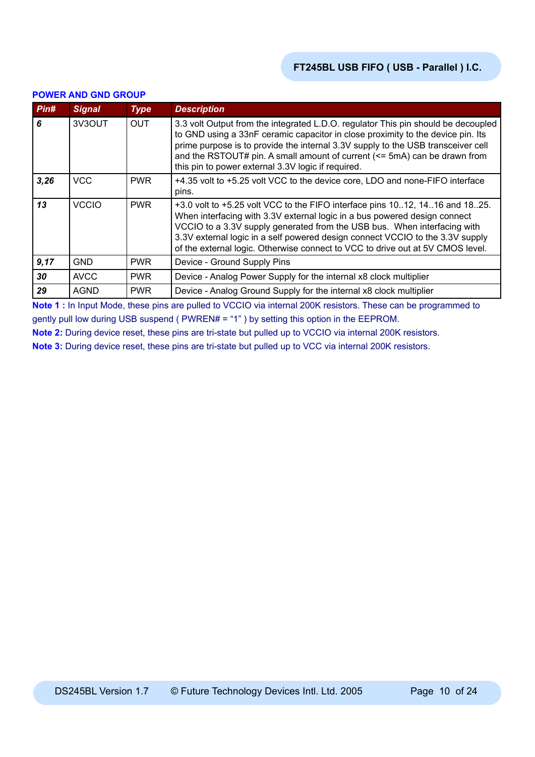| Pin# | <b>Signal</b> | <b>Type</b> | <b>Description</b>                                                                                                                                                                                                                                                                                                                                                                                      |
|------|---------------|-------------|---------------------------------------------------------------------------------------------------------------------------------------------------------------------------------------------------------------------------------------------------------------------------------------------------------------------------------------------------------------------------------------------------------|
| 6    | 3V3OUT        | <b>OUT</b>  | 3.3 volt Output from the integrated L.D.O. regulator This pin should be decoupled<br>to GND using a 33nF ceramic capacitor in close proximity to the device pin. Its<br>prime purpose is to provide the internal 3.3V supply to the USB transceiver cell<br>and the RSTOUT# pin. A small amount of current (<= 5mA) can be drawn from<br>this pin to power external 3.3V logic if required.             |
| 3,26 | <b>VCC</b>    | <b>PWR</b>  | +4.35 volt to +5.25 volt VCC to the device core, LDO and none-FIFO interface<br>pins.                                                                                                                                                                                                                                                                                                                   |
| 13   | <b>VCCIO</b>  | <b>PWR</b>  | +3.0 volt to +5.25 volt VCC to the FIFO interface pins 1012, 1416 and 1825.<br>When interfacing with 3.3V external logic in a bus powered design connect<br>VCCIO to a 3.3V supply generated from the USB bus. When interfacing with<br>3.3V external logic in a self powered design connect VCCIO to the 3.3V supply<br>of the external logic. Otherwise connect to VCC to drive out at 5V CMOS level. |
| 9,17 | GND           | <b>PWR</b>  | Device - Ground Supply Pins                                                                                                                                                                                                                                                                                                                                                                             |
| 30   | <b>AVCC</b>   | <b>PWR</b>  | Device - Analog Power Supply for the internal x8 clock multiplier                                                                                                                                                                                                                                                                                                                                       |
| 29   | <b>AGND</b>   | <b>PWR</b>  | Device - Analog Ground Supply for the internal x8 clock multiplier                                                                                                                                                                                                                                                                                                                                      |

#### **POWER AND GND GROUP**

**Note 1 :** In Input Mode, these pins are pulled to VCCIO via internal 200K resistors. These can be programmed to gently pull low during USB suspend ( PWREN# = "1" ) by setting this option in the EEPROM.

**Note 2:** During device reset, these pins are tri-state but pulled up to VCCIO via internal 200K resistors.

**Note 3:** During device reset, these pins are tri-state but pulled up to VCC via internal 200K resistors.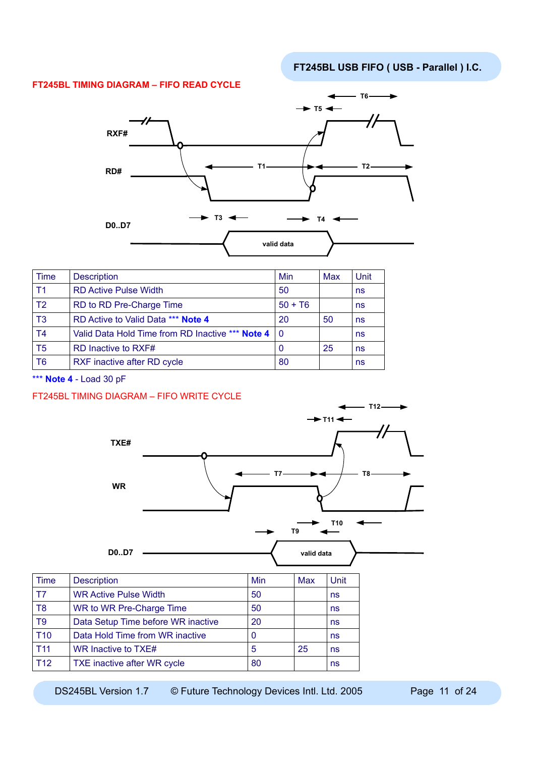#### **FT245BL TIMING DIAGRAM – FIFO READ CYCLE**



| <b>Time</b>    | <b>Description</b>                                   | Min       | Max | Unit |
|----------------|------------------------------------------------------|-----------|-----|------|
| T <sub>1</sub> | <b>RD Active Pulse Width</b>                         | 50        |     | ns   |
| T <sub>2</sub> | RD to RD Pre-Charge Time                             | $50 + T6$ |     | ns   |
| T <sub>3</sub> | RD Active to Valid Data *** Note 4                   | 20        | 50  | ns   |
| T <sub>4</sub> | Valid Data Hold Time from RD Inactive *** Note 4   0 |           |     | ns   |
| T <sub>5</sub> | RD Inactive to RXF#                                  | 0         | 25  | ns   |
| T6             | RXF inactive after RD cycle                          | 80        |     | ns   |

\*\*\* **Note 4** - Load 30 pF

#### FT245BL TIMING DIAGRAM – FIFO WRITE CYCLE



DS245BL Version 1.7 © Future Technology Devices Intl. Ltd. 2005 Page 11 of 24

T11 WR Inactive to TXE# 15 25 ns T12 TXE inactive after WR cycle 80 and 80 ns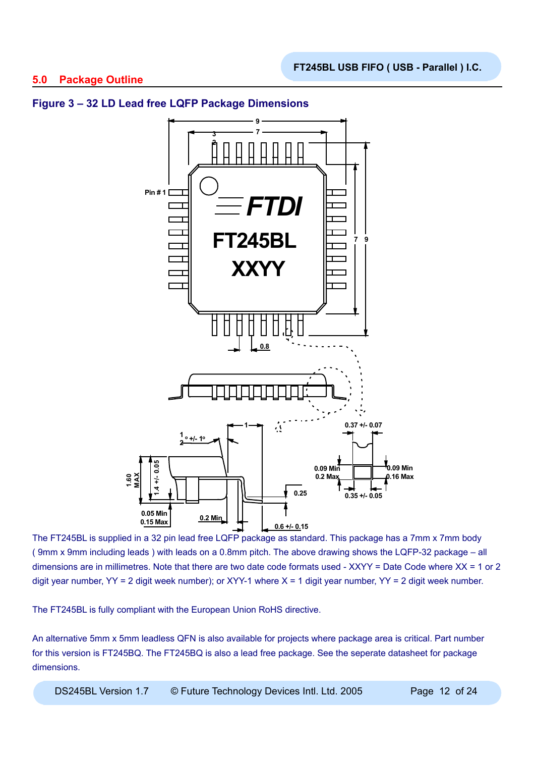

### **Figure 3 – 32 LD Lead free LQFP Package Dimensions**

The FT245BL is supplied in a 32 pin lead free LQFP package as standard. This package has a 7mm x 7mm body ( 9mm x 9mm including leads ) with leads on a 0.8mm pitch. The above drawing shows the LQFP-32 package – all dimensions are in millimetres. Note that there are two date code formats used - XXYY = Date Code where XX = 1 or 2 digit year number,  $YY = 2$  digit week number); or XYY-1 where  $X = 1$  digit year number,  $YY = 2$  digit week number.

The FT245BL is fully compliant with the European Union RoHS directive.

An alternative 5mm x 5mm leadless QFN is also available for projects where package area is critical. Part number for this version is FT245BQ. The FT245BQ is also a lead free package. See the seperate datasheet for package dimensions.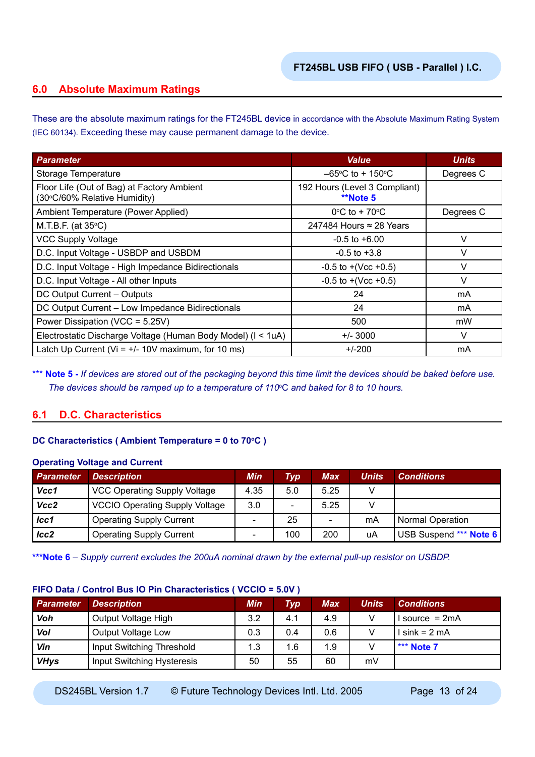### **6.0 Absolute Maximum Ratings**

These are the absolute maximum ratings for the FT245BL device in accordance with the Absolute Maximum Rating System (IEC 60134). Exceeding these may cause permanent damage to the device.

| <b>Parameter</b>                                                           | <b>Value</b>                                     | <b>Units</b> |
|----------------------------------------------------------------------------|--------------------------------------------------|--------------|
| Storage Temperature                                                        | $-65^{\circ}$ C to + 150 $^{\circ}$ C            | Degrees C    |
| Floor Life (Out of Bag) at Factory Ambient<br>(30°C/60% Relative Humidity) | 192 Hours (Level 3 Compliant)<br><b>**Note 5</b> |              |
| Ambient Temperature (Power Applied)                                        | $0^{\circ}$ C to + 70 $^{\circ}$ C               | Degrees C    |
| M.T.B.F. (at $35^{\circ}$ C)                                               | 247484 Hours $\approx$ 28 Years                  |              |
| <b>VCC Supply Voltage</b>                                                  | $-0.5$ to $+6.00$                                | V            |
| D.C. Input Voltage - USBDP and USBDM                                       | $-0.5$ to $+3.8$                                 | V            |
| D.C. Input Voltage - High Impedance Bidirectionals                         | $-0.5$ to $+(Vec +0.5)$                          | V            |
| D.C. Input Voltage - All other Inputs                                      | $-0.5$ to $+(Vcc +0.5)$                          | $\vee$       |
| DC Output Current - Outputs                                                | 24                                               | mA           |
| DC Output Current - Low Impedance Bidirectionals                           | 24                                               | mA           |
| Power Dissipation (VCC = 5.25V)                                            | 500                                              | mW           |
| Electrostatic Discharge Voltage (Human Body Model) (I < 1uA)               | $+/- 3000$                                       | $\vee$       |
| Latch Up Current (Vi = $+/-$ 10V maximum, for 10 ms)                       | $+/-200$                                         | mA           |

\*\*\* **Note 5** - If devices are stored out of the packaging beyond this time limit the devices should be baked before use. *The devices should be ramped up to a temperature of 110*<sup>o</sup> C *and baked for 8 to 10 hours.*

### **6.1 D.C. Characteristics**

#### **DC Characteristics (Ambient Temperature = 0 to 70°C)**

#### **Operating Voltage and Current**

| <b>Parameter</b> | <b>Description</b>                    | Min                      | Typ                      | <b>Max</b> | Units | <b>Conditions</b>       |
|------------------|---------------------------------------|--------------------------|--------------------------|------------|-------|-------------------------|
| Vcc1             | <b>VCC Operating Supply Voltage</b>   | 4.35                     | 5.0                      | 5.25       |       |                         |
| Vcc2             | <b>VCCIO Operating Supply Voltage</b> | 3.0                      | $\overline{\phantom{0}}$ | 5.25       |       |                         |
| $_{lcc1}$        | <b>Operating Supply Current</b>       | $\overline{\phantom{0}}$ | 25                       | -          | mA    | <b>Normal Operation</b> |
| lcc2             | <b>Operating Supply Current</b>       | $\overline{\phantom{0}}$ | 100                      | 200        | uA    | USB Suspend *** Note 6  |

**\*\*\*Note 6** *– Supply current excludes the 200uA nominal drawn by the external pull-up resistor on USBDP.*

#### **FIFO Data / Control Bus IO Pin Characteristics ( VCCIO = 5.0V )**

| <b>Parameter</b> | <b>Description</b>         | <b>Min</b> | Typ | Max | <b>Units</b> | <b>Conditions</b> |
|------------------|----------------------------|------------|-----|-----|--------------|-------------------|
| Voh              | Output Voltage High        | 3.2        | 4.1 | 4.9 | v            | source = $2mA$    |
| Vol              | Output Voltage Low         | 0.3        | 0.4 | 0.6 | v            | l sink = 2 mA     |
| Vin              | Input Switching Threshold  | 1.3        | 1.6 | 1.9 |              | *** Note 7        |
| <b>VHys</b>      | Input Switching Hysteresis | 50         | 55  | 60  | mV           |                   |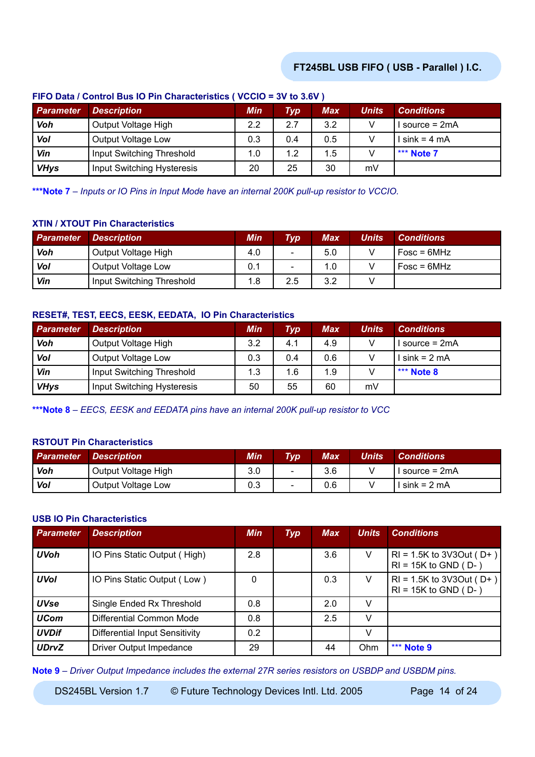| Parameter   | <b>Description</b>         | <b>Min</b> | Typ | <b>Max</b> | <b>Units</b> | <b>Conditions</b> |
|-------------|----------------------------|------------|-----|------------|--------------|-------------------|
| Voh         | Output Voltage High        | 2.2        | 2.7 | 3.2        | V            | source = 2mA      |
| Vol         | Output Voltage Low         | 0.3        | 0.4 | 0.5        |              | l sink = 4 mA     |
| Vin         | Input Switching Threshold  | 1.0        | 1.2 | 1.5        |              | *** Note 7        |
| <b>VHys</b> | Input Switching Hysteresis | 20         | 25  | 30         | mV           |                   |

#### **FIFO Data / Control Bus IO Pin Characteristics ( VCCIO = 3V to 3.6V )**

**\*\*\*Note 7** *– Inputs or IO Pins in Input Mode have an internal 200K pull-up resistor to VCCIO.*

### **XTIN / XTOUT Pin Characteristics**

| <b>Parameter</b> | <b>Description</b>        | Min | <b>Typ</b>               | Max | <b>Units</b> | <b>Conditions</b> |
|------------------|---------------------------|-----|--------------------------|-----|--------------|-------------------|
| Voh              | Output Voltage High       | 4.0 | $\overline{\phantom{0}}$ | 5.0 |              | $Fosc = 6MHz$     |
| Vol              | Output Voltage Low        | 0.1 | $\sim$                   | 1.0 |              | $Fosc = 6MHz$     |
| Vin              | Input Switching Threshold | 1.8 | 2.5                      | 3.2 |              |                   |

### **RESET#, TEST, EECS, EESK, EEDATA, IO Pin Characteristics**

| <b>Parameter</b> | <b>Description</b>         | <b>Min</b> | Typ | Max | <b>Units</b> | <b>Conditions</b> |
|------------------|----------------------------|------------|-----|-----|--------------|-------------------|
| Voh              | Output Voltage High        | 3.2        | 4.1 | 4.9 |              | I source = 2mA    |
| Vol              | Output Voltage Low         | 0.3        | 0.4 | 0.6 |              | $lsink = 2 mA$    |
| Vin              | Input Switching Threshold  | 1.3        | 1.6 | 1.9 |              | $\mid$ *** Note 8 |
| <b>VHys</b>      | Input Switching Hysteresis | 50         | 55  | 60  | mV           |                   |

**\*\*\*Note 8** *– EECS, EESK and EEDATA pins have an internal 200K pull-up resistor to VCC*

#### **RSTOUT Pin Characteristics**

| <b>Parameter</b> | <b>Description</b>  | <b>Min</b> | <b>Typ</b>               | Max | Units | <b>Conditions</b> |
|------------------|---------------------|------------|--------------------------|-----|-------|-------------------|
| Voh              | Output Voltage High | 3.0        | $\sim$                   | 3.6 |       | I source $= 2mA$  |
| Vol              | Output Voltage Low  | 0.3        | $\overline{\phantom{a}}$ | 0.6 |       | $sin k = 2 mA$    |

#### **USB IO Pin Characteristics**

| <b>Parameter</b> | <b>Description</b>             | <b>Min</b> | <b>Typ</b> | <b>Max</b> | <b>Units</b> | <b>Conditions</b>                                         |
|------------------|--------------------------------|------------|------------|------------|--------------|-----------------------------------------------------------|
| <b>UVoh</b>      | IO Pins Static Output (High)   | 2.8        |            | 3.6        | V            | $RI = 1.5K$ to 3V3Out (D+)<br>$RI = 15K$ to GND ( $D -$ ) |
| <b>UVol</b>      | IO Pins Static Output (Low)    | $\Omega$   |            | 0.3        | V            | $RI = 1.5K$ to 3V3Out (D+)<br>$RI = 15K$ to GND ( $D-$ )  |
| <b>UVse</b>      | Single Ended Rx Threshold      | 0.8        |            | 2.0        | V            |                                                           |
| <b>UCom</b>      | Differential Common Mode       | 0.8        |            | 2.5        | V            |                                                           |
| <b>UVDif</b>     | Differential Input Sensitivity | 0.2        |            |            | v            |                                                           |
| <b>UDrvZ</b>     | Driver Output Impedance        | 29         |            | 44         | Ohm          | *** Note 9                                                |

**Note 9** *– Driver Output Impedance includes the external 27R series resistors on USBDP and USBDM pins.*

DS245BL Version 1.7 © Future Technology Devices Intl. Ltd. 2005 Page 14 of 24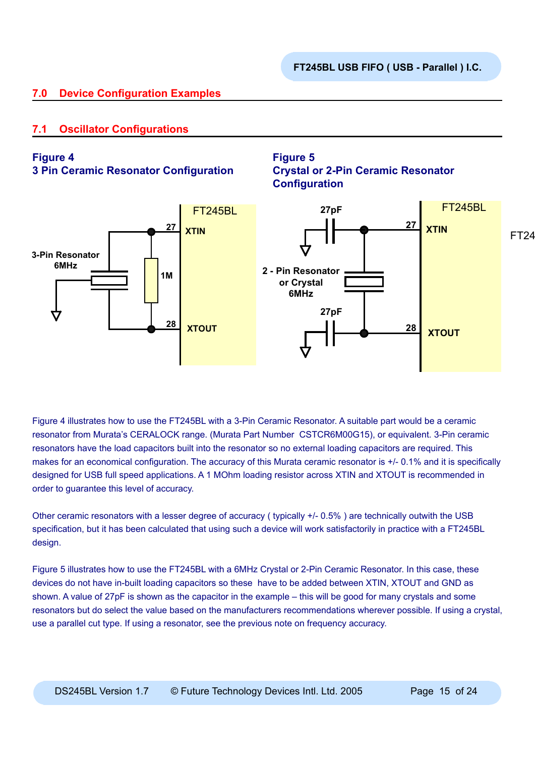## **7.0 Device Configuration Examples**

## **7.1 Oscillator Configurations**

### **Figure 4**

**3 Pin Ceramic Resonator Configuration**

## **Figure 5 Crystal or 2-Pin Ceramic Resonator Configuration**



Figure 4 illustrates how to use the FT245BL with a 3-Pin Ceramic Resonator. A suitable part would be a ceramic resonator from Murata's CERALOCK range. (Murata Part Number CSTCR6M00G15), or equivalent. 3-Pin ceramic resonators have the load capacitors built into the resonator so no external loading capacitors are required. This makes for an economical configuration. The accuracy of this Murata ceramic resonator is +/- 0.1% and it is specifically designed for USB full speed applications. A 1 MOhm loading resistor across XTIN and XTOUT is recommended in order to guarantee this level of accuracy.

Other ceramic resonators with a lesser degree of accuracy ( typically +/- 0.5% ) are technically outwith the USB specification, but it has been calculated that using such a device will work satisfactorily in practice with a FT245BL design.

Figure 5 illustrates how to use the FT245BL with a 6MHz Crystal or 2-Pin Ceramic Resonator. In this case, these devices do not have in-built loading capacitors so these have to be added between XTIN, XTOUT and GND as shown. A value of 27pF is shown as the capacitor in the example – this will be good for many crystals and some resonators but do select the value based on the manufacturers recommendations wherever possible. If using a crystal, use a parallel cut type. If using a resonator, see the previous note on frequency accuracy.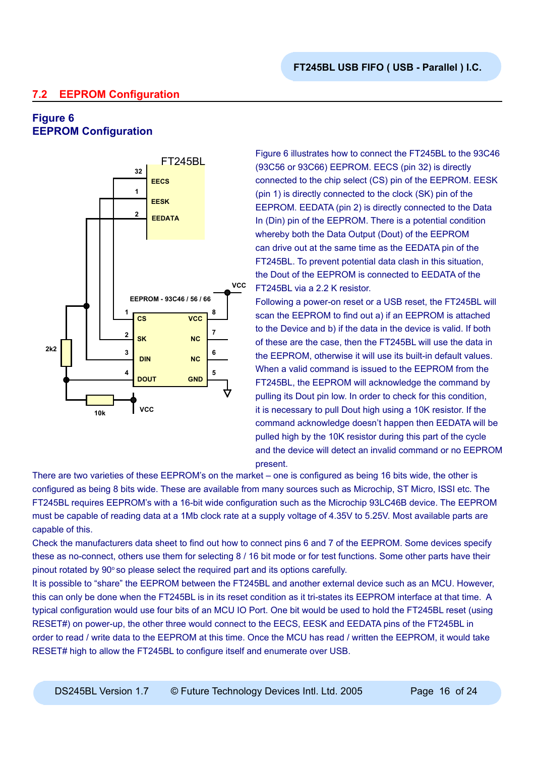## **7.2 EEPROM Configuration**

## **Figure 6 EEPROM Configuration**



Figure 6 illustrates how to connect the FT245BL to the 93C46 (93C56 or 93C66) EEPROM. EECS (pin 32) is directly connected to the chip select (CS) pin of the EEPROM. EESK (pin 1) is directly connected to the clock (SK) pin of the EEPROM. EEDATA (pin 2) is directly connected to the Data In (Din) pin of the EEPROM. There is a potential condition whereby both the Data Output (Dout) of the EEPROM can drive out at the same time as the EEDATA pin of the FT245BL. To prevent potential data clash in this situation, the Dout of the EEPROM is connected to EEDATA of the FT245BL via a 2.2 K resistor.

Following a power-on reset or a USB reset, the FT245BL will scan the EEPROM to find out a) if an EEPROM is attached to the Device and b) if the data in the device is valid. If both of these are the case, then the FT245BL will use the data in the EEPROM, otherwise it will use its built-in default values. When a valid command is issued to the EEPROM from the FT245BL, the EEPROM will acknowledge the command by pulling its Dout pin low. In order to check for this condition, it is necessary to pull Dout high using a 10K resistor. If the command acknowledge doesn't happen then EEDATA will be pulled high by the 10K resistor during this part of the cycle and the device will detect an invalid command or no EEPROM present.

There are two varieties of these EEPROM's on the market – one is configured as being 16 bits wide, the other is configured as being 8 bits wide. These are available from many sources such as Microchip, ST Micro, ISSI etc. The FT245BL requires EEPROM's with a 16-bit wide configuration such as the Microchip 93LC46B device. The EEPROM must be capable of reading data at a 1Mb clock rate at a supply voltage of 4.35V to 5.25V. Most available parts are capable of this.

Check the manufacturers data sheet to find out how to connect pins 6 and 7 of the EEPROM. Some devices specify these as no-connect, others use them for selecting 8 / 16 bit mode or for test functions. Some other parts have their pinout rotated by  $90^\circ$  so please select the required part and its options carefully.

It is possible to "share" the EEPROM between the FT245BL and another external device such as an MCU. However, this can only be done when the FT245BL is in its reset condition as it tri-states its EEPROM interface at that time. A typical configuration would use four bits of an MCU IO Port. One bit would be used to hold the FT245BL reset (using RESET#) on power-up, the other three would connect to the EECS, EESK and EEDATA pins of the FT245BL in order to read / write data to the EEPROM at this time. Once the MCU has read / written the EEPROM, it would take RESET# high to allow the FT245BL to configure itself and enumerate over USB.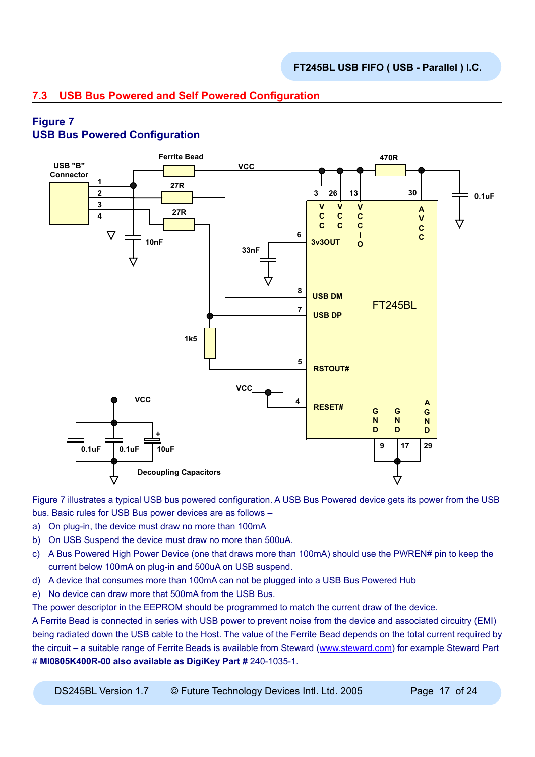## **7.3 USB Bus Powered and Self Powered Configuration**

# **Figure 7**

## **USB Bus Powered Configuration**



Figure 7 illustrates a typical USB bus powered configuration. A USB Bus Powered device gets its power from the USB bus. Basic rules for USB Bus power devices are as follows –

- a) On plug-in, the device must draw no more than 100mA
- b) On USB Suspend the device must draw no more than 500uA.
- c) A Bus Powered High Power Device (one that draws more than 100mA) should use the PWREN# pin to keep the current below 100mA on plug-in and 500uA on USB suspend.
- d) A device that consumes more than 100mA can not be plugged into a USB Bus Powered Hub
- e) No device can draw more that 500mA from the USB Bus.

The power descriptor in the EEPROM should be programmed to match the current draw of the device.

A Ferrite Bead is connected in series with USB power to prevent noise from the device and associated circuitry (EMI) being radiated down the USB cable to the Host. The value of the Ferrite Bead depends on the total current required by the circuit – a suitable range of Ferrite Beads is available from Steward ([www.steward.com](http://www.steward.com)) for example Steward Part # **MI0805K400R-00 also available as DigiKey Part #** 240-1035-1.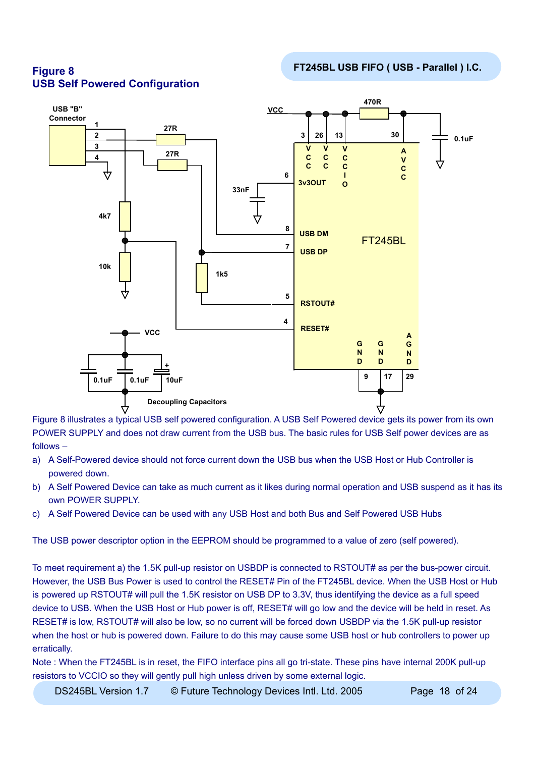



Figure 8 illustrates a typical USB self powered configuration. A USB Self Powered device gets its power from its own POWER SUPPLY and does not draw current from the USB bus. The basic rules for USB Self power devices are as follows –

- a) A Self-Powered device should not force current down the USB bus when the USB Host or Hub Controller is powered down.
- b) A Self Powered Device can take as much current as it likes during normal operation and USB suspend as it has its own POWER SUPPLY.
- c) A Self Powered Device can be used with any USB Host and both Bus and Self Powered USB Hubs

The USB power descriptor option in the EEPROM should be programmed to a value of zero (self powered).

To meet requirement a) the 1.5K pull-up resistor on USBDP is connected to RSTOUT# as per the bus-power circuit. However, the USB Bus Power is used to control the RESET# Pin of the FT245BL device. When the USB Host or Hub is powered up RSTOUT# will pull the 1.5K resistor on USB DP to 3.3V, thus identifying the device as a full speed device to USB. When the USB Host or Hub power is off, RESET# will go low and the device will be held in reset. As RESET# is low, RSTOUT# will also be low, so no current will be forced down USBDP via the 1.5K pull-up resistor when the host or hub is powered down. Failure to do this may cause some USB host or hub controllers to power up erratically.

Note : When the FT245BL is in reset, the FIFO interface pins all go tri-state. These pins have internal 200K pull-up resistors to VCCIO so they will gently pull high unless driven by some external logic.

DS245BL Version 1.7  $\circledcirc$  Future Technology Devices Intl. Ltd. 2005 Page 18 of 24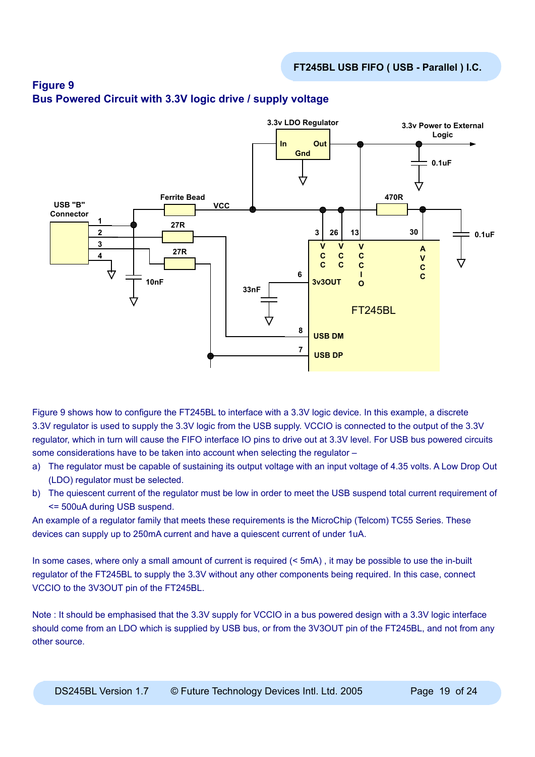

## **Figure 9 Bus Powered Circuit with 3.3V logic drive / supply voltage**

Figure 9 shows how to configure the FT245BL to interface with a 3.3V logic device. In this example, a discrete 3.3V regulator is used to supply the 3.3V logic from the USB supply. VCCIO is connected to the output of the 3.3V regulator, which in turn will cause the FIFO interface IO pins to drive out at 3.3V level. For USB bus powered circuits some considerations have to be taken into account when selecting the regulator –

- a) The regulator must be capable of sustaining its output voltage with an input voltage of 4.35 volts. A Low Drop Out (LDO) regulator must be selected.
- b) The quiescent current of the regulator must be low in order to meet the USB suspend total current requirement of <= 500uA during USB suspend.

An example of a regulator family that meets these requirements is the MicroChip (Telcom) TC55 Series. These devices can supply up to 250mA current and have a quiescent current of under 1uA.

In some cases, where only a small amount of current is required (< 5mA), it may be possible to use the in-built regulator of the FT245BL to supply the 3.3V without any other components being required. In this case, connect VCCIO to the 3V3OUT pin of the FT245BL.

Note : It should be emphasised that the 3.3V supply for VCCIO in a bus powered design with a 3.3V logic interface should come from an LDO which is supplied by USB bus, or from the 3V3OUT pin of the FT245BL, and not from any other source.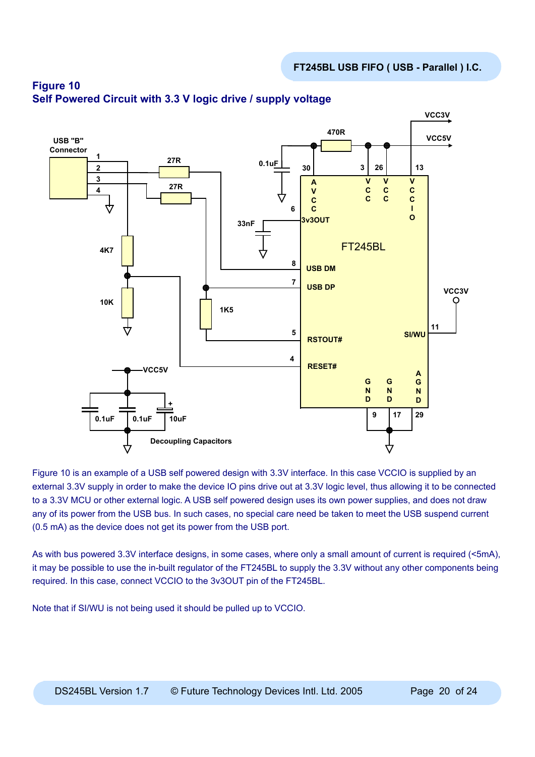

## **Figure 10 Self Powered Circuit with 3.3 V logic drive / supply voltage**

Figure 10 is an example of a USB self powered design with 3.3V interface. In this case VCCIO is supplied by an external 3.3V supply in order to make the device IO pins drive out at 3.3V logic level, thus allowing it to be connected to a 3.3V MCU or other external logic. A USB self powered design uses its own power supplies, and does not draw any of its power from the USB bus. In such cases, no special care need be taken to meet the USB suspend current (0.5 mA) as the device does not get its power from the USB port.

As with bus powered 3.3V interface designs, in some cases, where only a small amount of current is required (<5mA), it may be possible to use the in-built regulator of the FT245BL to supply the 3.3V without any other components being required. In this case, connect VCCIO to the 3v3OUT pin of the FT245BL.

Note that if SI/WU is not being used it should be pulled up to VCCIO.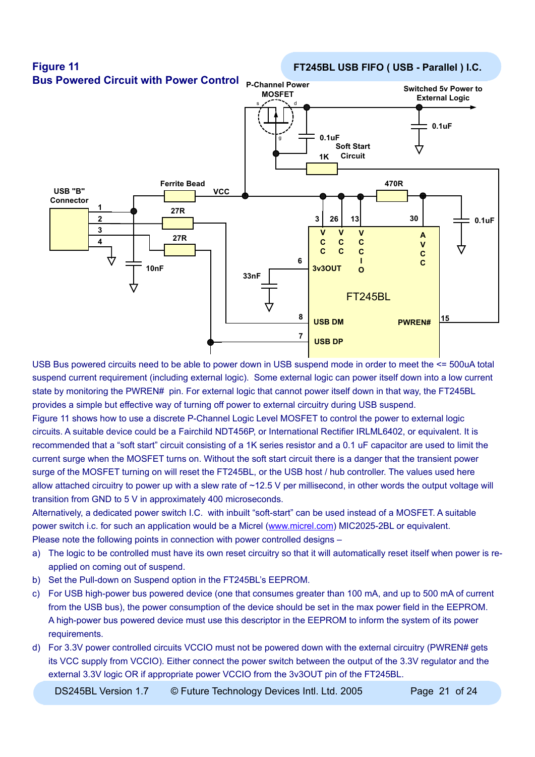

USB Bus powered circuits need to be able to power down in USB suspend mode in order to meet the <= 500uA total suspend current requirement (including external logic). Some external logic can power itself down into a low current state by monitoring the PWREN# pin. For external logic that cannot power itself down in that way, the FT245BL provides a simple but effective way of turning off power to external circuitry during USB suspend.

Figure 11 shows how to use a discrete P-Channel Logic Level MOSFET to control the power to external logic circuits. A suitable device could be a Fairchild NDT456P, or International Rectifier IRLML6402, or equivalent. It is recommended that a "soft start" circuit consisting of a 1K series resistor and a 0.1 uF capacitor are used to limit the current surge when the MOSFET turns on. Without the soft start circuit there is a danger that the transient power surge of the MOSFET turning on will reset the FT245BL, or the USB host / hub controller. The values used here allow attached circuitry to power up with a slew rate of ~12.5 V per millisecond, in other words the output voltage will transition from GND to 5 V in approximately 400 microseconds.

Alternatively, a dedicated power switch I.C. with inbuilt "soft-start" can be used instead of a MOSFET. A suitable power switch i.c. for such an application would be a Micrel ([www.micrel.com](http://www.micrel.com)) MIC2025-2BL or equivalent. Please note the following points in connection with power controlled designs –

- a) The logic to be controlled must have its own reset circuitry so that it will automatically reset itself when power is reapplied on coming out of suspend.
- b) Set the Pull-down on Suspend option in the FT245BL's EEPROM.
- c) For USB high-power bus powered device (one that consumes greater than 100 mA, and up to 500 mA of current from the USB bus), the power consumption of the device should be set in the max power field in the EEPROM. A high-power bus powered device must use this descriptor in the EEPROM to inform the system of its power requirements.
- d) For 3.3V power controlled circuits VCCIO must not be powered down with the external circuitry (PWREN# gets its VCC supply from VCCIO). Either connect the power switch between the output of the 3.3V regulator and the external 3.3V logic OR if appropriate power VCCIO from the 3v3OUT pin of the FT245BL.

DS245BL Version 1.7  $\circ$  Future Technology Devices Intl. Ltd. 2005 Page 21 of 24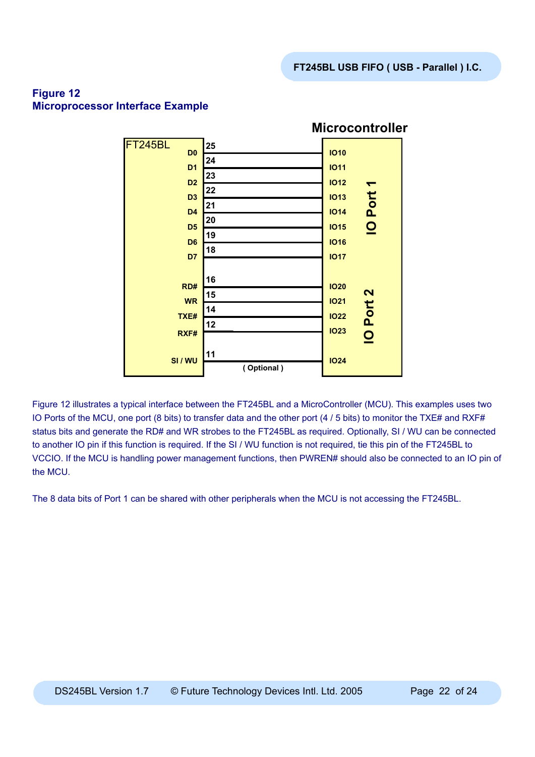

## **Figure 12 Microprocessor Interface Example**

Figure 12 illustrates a typical interface between the FT245BL and a MicroController (MCU). This examples uses two IO Ports of the MCU, one port (8 bits) to transfer data and the other port (4 / 5 bits) to monitor the TXE# and RXF# status bits and generate the RD# and WR strobes to the FT245BL as required. Optionally, SI / WU can be connected to another IO pin if this function is required. If the SI / WU function is not required, tie this pin of the FT245BL to VCCIO. If the MCU is handling power management functions, then PWREN# should also be connected to an IO pin of the MCU.

The 8 data bits of Port 1 can be shared with other peripherals when the MCU is not accessing the FT245BL.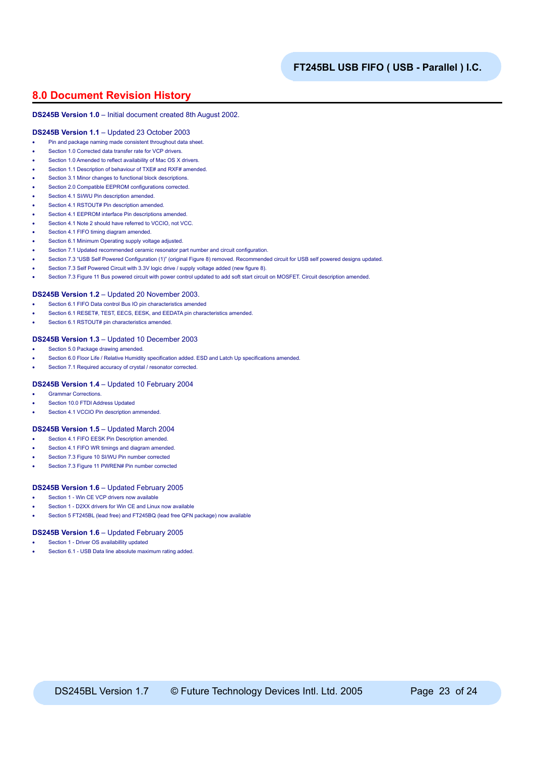### **8.0 Document Revision History**

#### **DS245B Version 1.0** – Initial document created 8th August 2002.

#### **DS245B Version 1.1** – Updated 23 October 2003

- Pin and package naming made consistent throughout data sheet.
- Section 1.0 Corrected data transfer rate for VCP drivers.
- Section 1.0 Amended to reflect availability of Mac OS X drivers.
- Section 1.1 Description of behaviour of TXE# and RXF# amended.
- Section 3.1 Minor changes to functional block descriptions.
- Section 2.0 Compatible EEPROM configurations corrected.
- Section 4.1 SI/WU Pin description amended.
- Section 4.1 RSTOUT# Pin description amended.
- Section 4.1 EEPROM interface Pin descriptions amended.
- Section 4.1 Note 2 should have referred to VCCIO, not VCC.
- Section 4.1 FIFO timing diagram amended.
- Section 6.1 Minimum Operating supply voltage adjusted.
- Section 7.1 Updated recommended ceramic resonator part number and circuit configuration.
- Section 7.3 "USB Self Powered Configuration (1)" (original Figure 8) removed. Recommended circuit for USB self powered designs updated.
- Section 7.3 Self Powered Circuit with 3.3V logic drive / supply voltage added (new figure 8).
- Section 7.3 Figure 11 Bus powered circuit with power control updated to add soft start circuit on MOSFET. Circuit description amended.

#### **DS245B Version 1.2** – Updated 20 November 2003.

- Section 6.1 FIFO Data control Bus IO pin characteristics amended
- Section 6.1 RESET#, TEST, EECS, EESK, and EEDATA pin characteristics amended.
- Section 6.1 RSTOUT# pin characteristics amended.

#### **DS245B Version 1.3** – Updated 10 December 2003

- Section 5.0 Package drawing amended.
- Section 6.0 Floor Life / Relative Humidity specification added. ESD and Latch Up specifications amended.
- Section 7.1 Required accuracy of crystal / resonator corrected.

#### **DS245B Version 1.4** – Updated 10 February 2004

- Grammar Corrections.
- Section 10.0 FTDI Address Updated
- Section 4.1 VCCIO Pin description ammended.

#### **DS245B Version 1.5** – Updated March 2004

- Section 4.1 FIFO EESK Pin Description amended
- Section 4.1 FIFO WR timings and diagram amended.
- Section 7.3 Figure 10 SI/WU Pin number corrected
- Section 7.3 Figure 11 PWREN# Pin number corrected

#### **DS245B Version 1.6** – Updated February 2005

- Section 1 Win CE VCP drivers now available
- Section 1 D2XX drivers for Win CE and Linux now available
- Section 5 FT245BL (lead free) and FT245BQ (lead free QFN package) now available

#### **DS245B Version 1.6** – Updated February 2005

- Section 1 Driver OS availabillity updated
- Section 6.1 USB Data line absolute maximum rating added